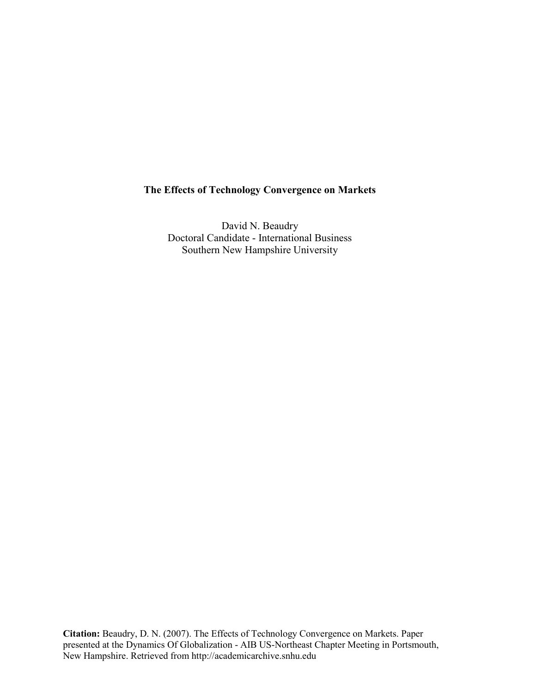# **The Effects of Technology Convergence on Markets**

David N. Beaudry Doctoral Candidate - International Business Southern New Hampshire University

**Citation:** Beaudry, D. N. (2007). The Effects of Technology Convergence on Markets. Paper presented at the Dynamics Of Globalization - AIB US-Northeast Chapter Meeting in Portsmouth, New Hampshire. Retrieved from http://academicarchive.snhu.edu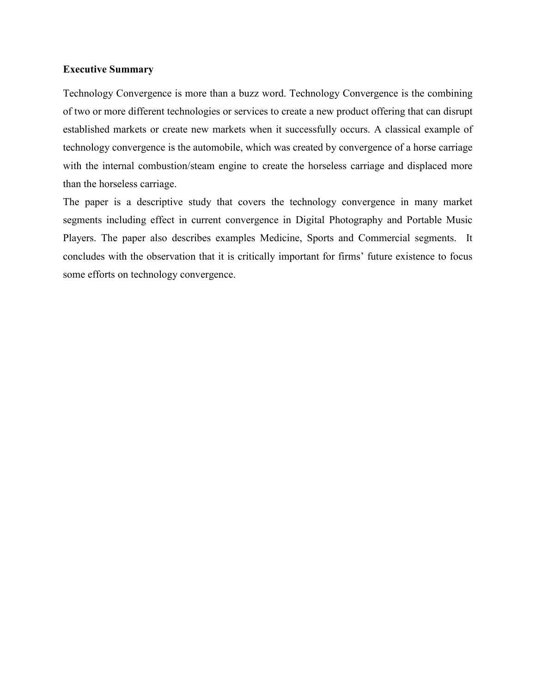## **Executive Summary**

Technology Convergence is more than a buzz word. Technology Convergence is the combining of two or more different technologies or services to create a new product offering that can disrupt established markets or create new markets when it successfully occurs. A classical example of technology convergence is the automobile, which was created by convergence of a horse carriage with the internal combustion/steam engine to create the horseless carriage and displaced more than the horseless carriage.

The paper is a descriptive study that covers the technology convergence in many market segments including effect in current convergence in Digital Photography and Portable Music Players. The paper also describes examples Medicine, Sports and Commercial segments. It concludes with the observation that it is critically important for firms' future existence to focus some efforts on technology convergence.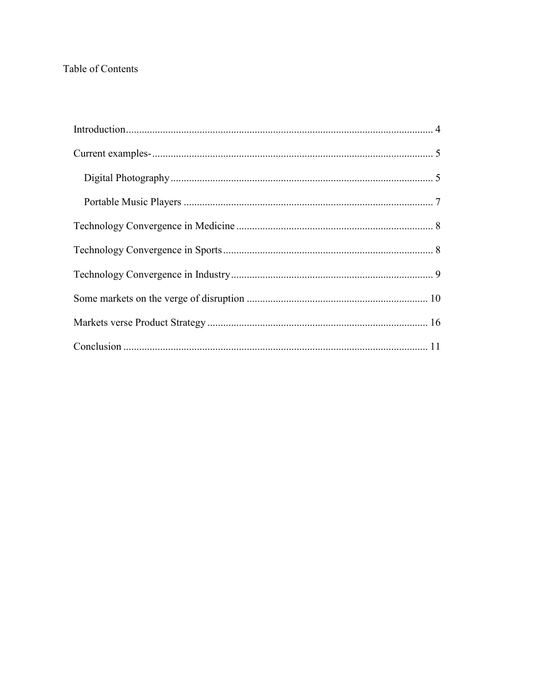# Table of Contents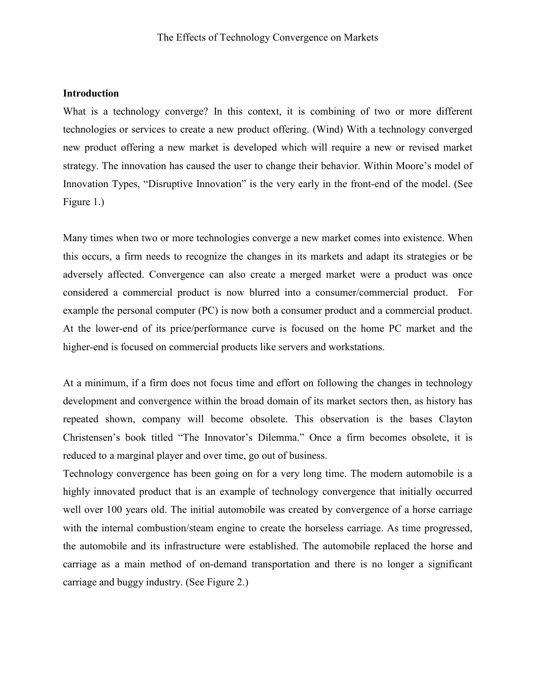### **Introduction**

What is a technology converge? In this context, it is combining of two or more different technologies or services to create a new product offering. (Wind) With a technology converged new product offering a new market is developed which will require a new or revised market strategy. The innovation has caused the user to change their behavior. Within Moore's model of Innovation Types, "Disruptive Innovation" is the very early in the front-end of the model. (See Figure 1.)

Many times when two or more technologies converge a new market comes into existence. When this occurs, a firm needs to recognize the changes in its markets and adapt its strategies or be adversely affected. Convergence can also create a merged market were a product was once considered a commercial product is now blurred into a consumer/commercial product. For example the personal computer (PC) is now both a consumer product and a commercial product. At the lower-end of its price/performance curve is focused on the home PC market and the higher-end is focused on commercial products like servers and workstations.

At a minimum, if a firm does not focus time and effort on following the changes in technology development and convergence within the broad domain of its market sectors then, as history has repeated shown, company will become obsolete. This observation is the bases Clayton Christensen's book titled "The Innovator's Dilemma." Once a firm becomes obsolete, it is reduced to a marginal player and over time, go out of business.

Technology convergence has been going on for a very long time. The modern automobile is a highly innovated product that is an example of technology convergence that initially occurred well over 100 years old. The initial automobile was created by convergence of a horse carriage with the internal combustion/steam engine to create the horseless carriage. As time progressed, the automobile and its infrastructure were established. The automobile replaced the horse and carriage as a main method of on-demand transportation and there is no longer a significant carriage and buggy industry. (See Figure 2.)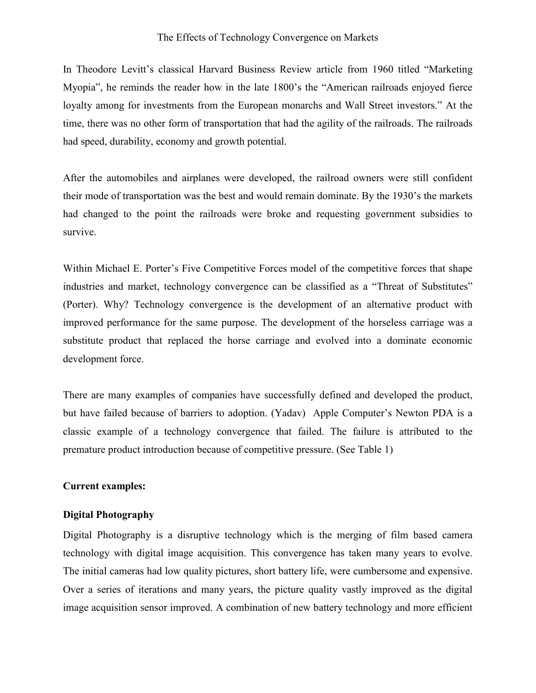#### The Effects of Technology Convergence on Markets

In Theodore Levitt's classical Harvard Business Review article from 1960 titled "Marketing Myopia", he reminds the reader how in the late 1800's the "American railroads enjoyed fierce loyalty among for investments from the European monarchs and Wall Street investors." At the time, there was no other form of transportation that had the agility of the railroads. The railroads had speed, durability, economy and growth potential.

After the automobiles and airplanes were developed, the railroad owners were still confident their mode of transportation was the best and would remain dominate. By the 1930's the markets had changed to the point the railroads were broke and requesting government subsidies to survive.

Within Michael E. Porter's Five Competitive Forces model of the competitive forces that shape industries and market, technology convergence can be classified as a "Threat of Substitutes" (Porter). Why? Technology convergence is the development of an alternative product with improved performance for the same purpose. The development of the horseless carriage was a substitute product that replaced the horse carriage and evolved into a dominate economic development force.

There are many examples of companies have successfully defined and developed the product, but have failed because of barriers to adoption. (Yadav) Apple Computer's Newton PDA is a classic example of a technology convergence that failed. The failure is attributed to the premature product introduction because of competitive pressure. (See Table 1)

## **Current examples:**

### **Digital Photography**

Digital Photography is a disruptive technology which is the merging of film based camera technology with digital image acquisition. This convergence has taken many years to evolve. The initial cameras had low quality pictures, short battery life, were cumbersome and expensive. Over a series of iterations and many years, the picture quality vastly improved as the digital image acquisition sensor improved. A combination of new battery technology and more efficient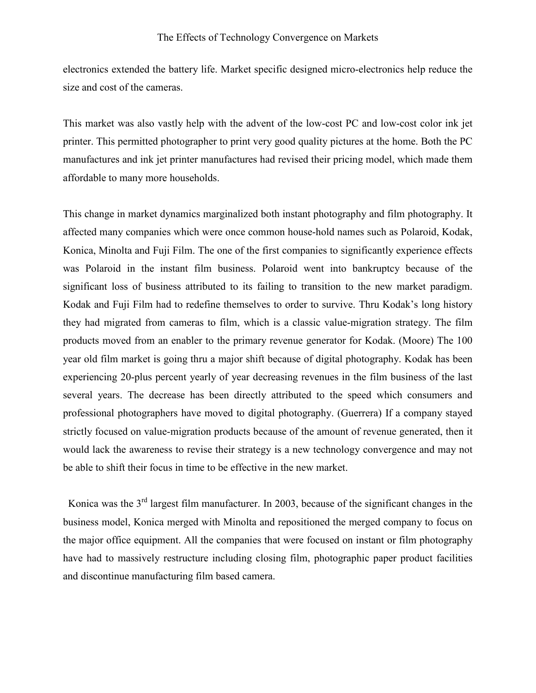electronics extended the battery life. Market specific designed micro-electronics help reduce the size and cost of the cameras.

This market was also vastly help with the advent of the low-cost PC and low-cost color ink jet printer. This permitted photographer to print very good quality pictures at the home. Both the PC manufactures and ink jet printer manufactures had revised their pricing model, which made them affordable to many more households.

This change in market dynamics marginalized both instant photography and film photography. It affected many companies which were once common house-hold names such as Polaroid, Kodak, Konica, Minolta and Fuji Film. The one of the first companies to significantly experience effects was Polaroid in the instant film business. Polaroid went into bankruptcy because of the significant loss of business attributed to its failing to transition to the new market paradigm. Kodak and Fuji Film had to redefine themselves to order to survive. Thru Kodak's long history they had migrated from cameras to film, which is a classic value-migration strategy. The film products moved from an enabler to the primary revenue generator for Kodak. (Moore) The 100 year old film market is going thru a major shift because of digital photography. Kodak has been experiencing 20-plus percent yearly of year decreasing revenues in the film business of the last several years. The decrease has been directly attributed to the speed which consumers and professional photographers have moved to digital photography. (Guerrera) If a company stayed strictly focused on value-migration products because of the amount of revenue generated, then it would lack the awareness to revise their strategy is a new technology convergence and may not be able to shift their focus in time to be effective in the new market.

Konica was the  $3<sup>rd</sup>$  largest film manufacturer. In 2003, because of the significant changes in the business model, Konica merged with Minolta and repositioned the merged company to focus on the major office equipment. All the companies that were focused on instant or film photography have had to massively restructure including closing film, photographic paper product facilities and discontinue manufacturing film based camera.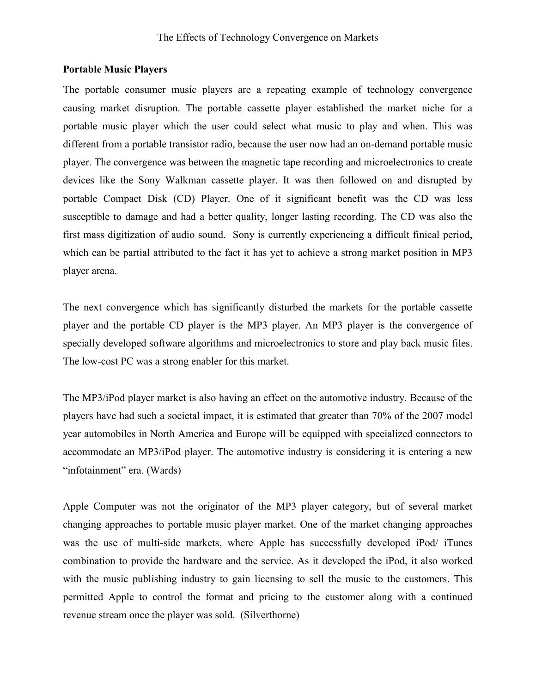### **Portable Music Players**

The portable consumer music players are a repeating example of technology convergence causing market disruption. The portable cassette player established the market niche for a portable music player which the user could select what music to play and when. This was different from a portable transistor radio, because the user now had an on-demand portable music player. The convergence was between the magnetic tape recording and microelectronics to create devices like the Sony Walkman cassette player. It was then followed on and disrupted by portable Compact Disk (CD) Player. One of it significant benefit was the CD was less susceptible to damage and had a better quality, longer lasting recording. The CD was also the first mass digitization of audio sound. Sony is currently experiencing a difficult finical period, which can be partial attributed to the fact it has yet to achieve a strong market position in MP3 player arena.

The next convergence which has significantly disturbed the markets for the portable cassette player and the portable CD player is the MP3 player. An MP3 player is the convergence of specially developed software algorithms and microelectronics to store and play back music files. The low-cost PC was a strong enabler for this market.

The MP3/iPod player market is also having an effect on the automotive industry. Because of the players have had such a societal impact, it is estimated that greater than 70% of the 2007 model year automobiles in North America and Europe will be equipped with specialized connectors to accommodate an MP3/iPod player. The automotive industry is considering it is entering a new "infotainment" era. (Wards)

Apple Computer was not the originator of the MP3 player category, but of several market changing approaches to portable music player market. One of the market changing approaches was the use of multi-side markets, where Apple has successfully developed iPod/ iTunes combination to provide the hardware and the service. As it developed the iPod, it also worked with the music publishing industry to gain licensing to sell the music to the customers. This permitted Apple to control the format and pricing to the customer along with a continued revenue stream once the player was sold. (Silverthorne)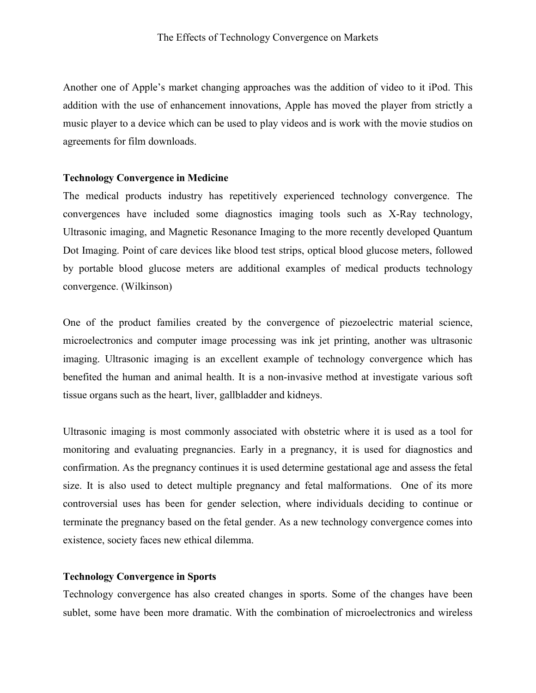Another one of Apple's market changing approaches was the addition of video to it iPod. This addition with the use of enhancement innovations, Apple has moved the player from strictly a music player to a device which can be used to play videos and is work with the movie studios on agreements for film downloads.

### **Technology Convergence in Medicine**

The medical products industry has repetitively experienced technology convergence. The convergences have included some diagnostics imaging tools such as X-Ray technology, Ultrasonic imaging, and Magnetic Resonance Imaging to the more recently developed Quantum Dot Imaging. Point of care devices like blood test strips, optical blood glucose meters, followed by portable blood glucose meters are additional examples of medical products technology convergence. (Wilkinson)

One of the product families created by the convergence of piezoelectric material science, microelectronics and computer image processing was ink jet printing, another was ultrasonic imaging. Ultrasonic imaging is an excellent example of technology convergence which has benefited the human and animal health. It is a non-invasive method at investigate various soft tissue organs such as the heart, liver, gallbladder and kidneys.

Ultrasonic imaging is most commonly associated with obstetric where it is used as a tool for monitoring and evaluating pregnancies. Early in a pregnancy, it is used for diagnostics and confirmation. As the pregnancy continues it is used determine gestational age and assess the fetal size. It is also used to detect multiple pregnancy and fetal malformations. One of its more controversial uses has been for gender selection, where individuals deciding to continue or terminate the pregnancy based on the fetal gender. As a new technology convergence comes into existence, society faces new ethical dilemma.

## **Technology Convergence in Sports**

Technology convergence has also created changes in sports. Some of the changes have been sublet, some have been more dramatic. With the combination of microelectronics and wireless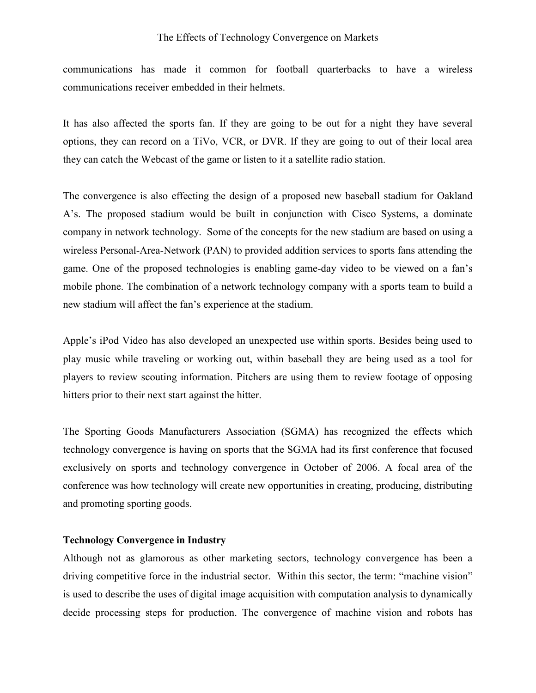#### The Effects of Technology Convergence on Markets

communications has made it common for football quarterbacks to have a wireless communications receiver embedded in their helmets.

It has also affected the sports fan. If they are going to be out for a night they have several options, they can record on a TiVo, VCR, or DVR. If they are going to out of their local area they can catch the Webcast of the game or listen to it a satellite radio station.

The convergence is also effecting the design of a proposed new baseball stadium for Oakland A's. The proposed stadium would be built in conjunction with Cisco Systems, a dominate company in network technology. Some of the concepts for the new stadium are based on using a wireless Personal-Area-Network (PAN) to provided addition services to sports fans attending the game. One of the proposed technologies is enabling game-day video to be viewed on a fan's mobile phone. The combination of a network technology company with a sports team to build a new stadium will affect the fan's experience at the stadium.

Apple's iPod Video has also developed an unexpected use within sports. Besides being used to play music while traveling or working out, within baseball they are being used as a tool for players to review scouting information. Pitchers are using them to review footage of opposing hitters prior to their next start against the hitter.

The Sporting Goods Manufacturers Association (SGMA) has recognized the effects which technology convergence is having on sports that the SGMA had its first conference that focused exclusively on sports and technology convergence in October of 2006. A focal area of the conference was how technology will create new opportunities in creating, producing, distributing and promoting sporting goods.

## **Technology Convergence in Industry**

Although not as glamorous as other marketing sectors, technology convergence has been a driving competitive force in the industrial sector. Within this sector, the term: "machine vision" is used to describe the uses of digital image acquisition with computation analysis to dynamically decide processing steps for production. The convergence of machine vision and robots has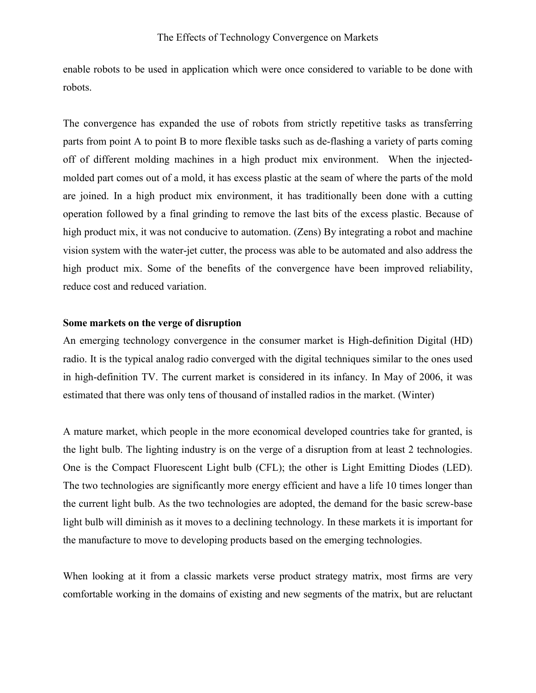enable robots to be used in application which were once considered to variable to be done with robots.

The convergence has expanded the use of robots from strictly repetitive tasks as transferring parts from point A to point B to more flexible tasks such as de-flashing a variety of parts coming off of different molding machines in a high product mix environment. When the injectedmolded part comes out of a mold, it has excess plastic at the seam of where the parts of the mold are joined. In a high product mix environment, it has traditionally been done with a cutting operation followed by a final grinding to remove the last bits of the excess plastic. Because of high product mix, it was not conducive to automation. (Zens) By integrating a robot and machine vision system with the water-jet cutter, the process was able to be automated and also address the high product mix. Some of the benefits of the convergence have been improved reliability, reduce cost and reduced variation.

## **Some markets on the verge of disruption**

An emerging technology convergence in the consumer market is High-definition Digital (HD) radio. It is the typical analog radio converged with the digital techniques similar to the ones used in high-definition TV. The current market is considered in its infancy. In May of 2006, it was estimated that there was only tens of thousand of installed radios in the market. (Winter)

A mature market, which people in the more economical developed countries take for granted, is the light bulb. The lighting industry is on the verge of a disruption from at least 2 technologies. One is the Compact Fluorescent Light bulb (CFL); the other is Light Emitting Diodes (LED). The two technologies are significantly more energy efficient and have a life 10 times longer than the current light bulb. As the two technologies are adopted, the demand for the basic screw-base light bulb will diminish as it moves to a declining technology. In these markets it is important for the manufacture to move to developing products based on the emerging technologies.

When looking at it from a classic markets verse product strategy matrix, most firms are very comfortable working in the domains of existing and new segments of the matrix, but are reluctant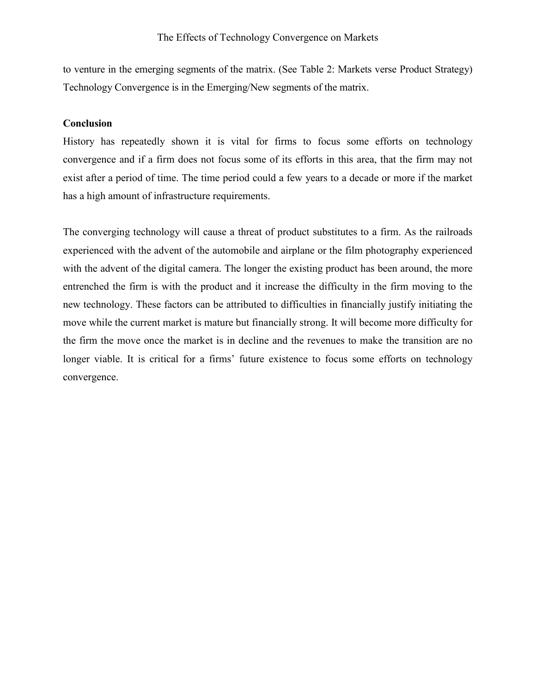to venture in the emerging segments of the matrix. (See Table 2: Markets verse Product Strategy) Technology Convergence is in the Emerging/New segments of the matrix.

## **Conclusion**

History has repeatedly shown it is vital for firms to focus some efforts on technology convergence and if a firm does not focus some of its efforts in this area, that the firm may not exist after a period of time. The time period could a few years to a decade or more if the market has a high amount of infrastructure requirements.

The converging technology will cause a threat of product substitutes to a firm. As the railroads experienced with the advent of the automobile and airplane or the film photography experienced with the advent of the digital camera. The longer the existing product has been around, the more entrenched the firm is with the product and it increase the difficulty in the firm moving to the new technology. These factors can be attributed to difficulties in financially justify initiating the move while the current market is mature but financially strong. It will become more difficulty for the firm the move once the market is in decline and the revenues to make the transition are no longer viable. It is critical for a firms' future existence to focus some efforts on technology convergence.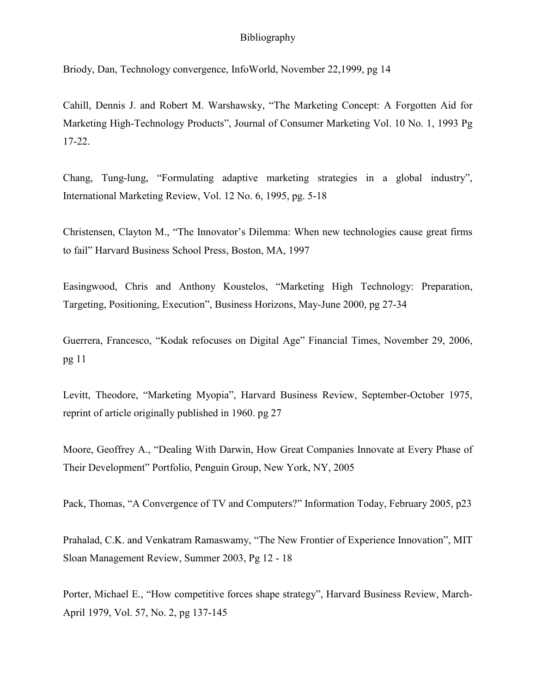## Bibliography

Briody, Dan, Technology convergence, InfoWorld, November 22,1999, pg 14

Cahill, Dennis J. and Robert M. Warshawsky, "The Marketing Concept: A Forgotten Aid for Marketing High-Technology Products", Journal of Consumer Marketing Vol. 10 No. 1, 1993 Pg 17-22.

Chang, Tung-lung, "Formulating adaptive marketing strategies in a global industry", International Marketing Review, Vol. 12 No. 6, 1995, pg. 5-18

Christensen, Clayton M., "The Innovator's Dilemma: When new technologies cause great firms to fail" Harvard Business School Press, Boston, MA, 1997

Easingwood, Chris and Anthony Koustelos, "Marketing High Technology: Preparation, Targeting, Positioning, Execution", Business Horizons, May-June 2000, pg 27-34

Guerrera, Francesco, "Kodak refocuses on Digital Age" Financial Times, November 29, 2006, pg 11

Levitt, Theodore, "Marketing Myopia", Harvard Business Review, September-October 1975, reprint of article originally published in 1960. pg 27

Moore, Geoffrey A., "Dealing With Darwin, How Great Companies Innovate at Every Phase of Their Development" Portfolio, Penguin Group, New York, NY, 2005

Pack, Thomas, "A Convergence of TV and Computers?" Information Today, February 2005, p23

Prahalad, C.K. and Venkatram Ramaswamy, "The New Frontier of Experience Innovation", MIT Sloan Management Review, Summer 2003, Pg 12 - 18

Porter, Michael E., "How competitive forces shape strategy", Harvard Business Review, March-April 1979, Vol. 57, No. 2, pg 137-145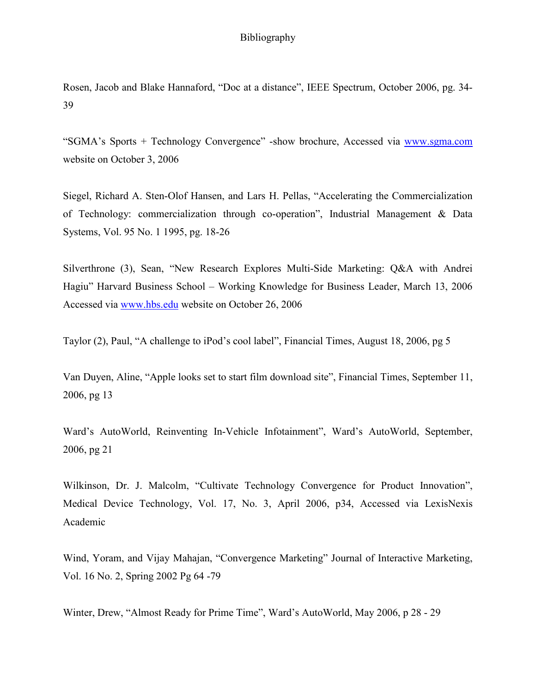## Bibliography

Rosen, Jacob and Blake Hannaford, "Doc at a distance", IEEE Spectrum, October 2006, pg. 34- 39

"SGMA's Sports + Technology Convergence" -show brochure, Accessed via www.sgma.com website on October 3, 2006

Siegel, Richard A. Sten-Olof Hansen, and Lars H. Pellas, "Accelerating the Commercialization of Technology: commercialization through co-operation", Industrial Management & Data Systems, Vol. 95 No. 1 1995, pg. 18-26

Silverthrone (3), Sean, "New Research Explores Multi-Side Marketing: Q&A with Andrei Hagiu" Harvard Business School – Working Knowledge for Business Leader, March 13, 2006 Accessed via www.hbs.edu website on October 26, 2006

Taylor (2), Paul, "A challenge to iPod's cool label", Financial Times, August 18, 2006, pg 5

Van Duyen, Aline, "Apple looks set to start film download site", Financial Times, September 11, 2006, pg 13

Ward's AutoWorld, Reinventing In-Vehicle Infotainment", Ward's AutoWorld, September, 2006, pg 21

Wilkinson, Dr. J. Malcolm, "Cultivate Technology Convergence for Product Innovation", Medical Device Technology, Vol. 17, No. 3, April 2006, p34, Accessed via LexisNexis Academic

Wind, Yoram, and Vijay Mahajan, "Convergence Marketing" Journal of Interactive Marketing, Vol. 16 No. 2, Spring 2002 Pg 64 -79

Winter, Drew, "Almost Ready for Prime Time", Ward's AutoWorld, May 2006, p 28 - 29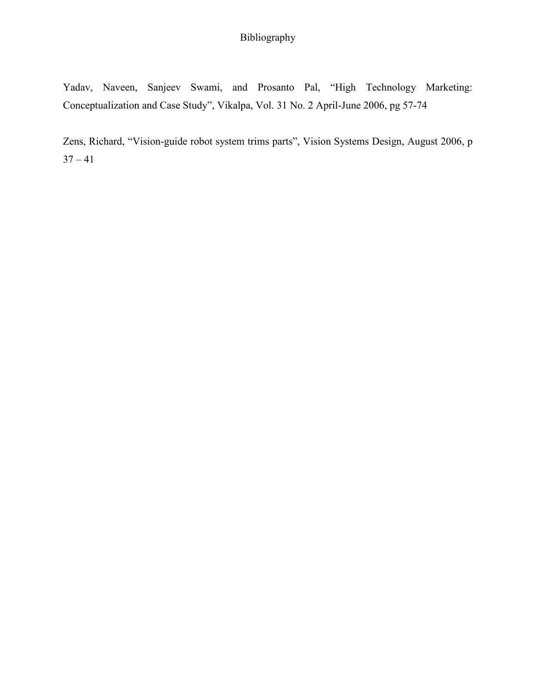# Bibliography

Yadav, Naveen, Sanjeev Swami, and Prosanto Pal, "High Technology Marketing: Conceptualization and Case Study", Vikalpa, Vol. 31 No. 2 April-June 2006, pg 57-74

Zens, Richard, "Vision-guide robot system trims parts", Vision Systems Design, August 2006, p  $37 - 41$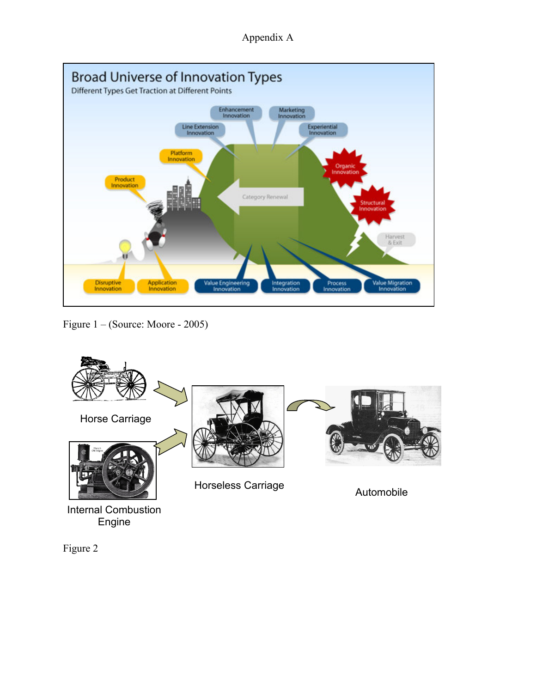Appendix A



Figure 1 – (Source: Moore - 2005)



Figure 2